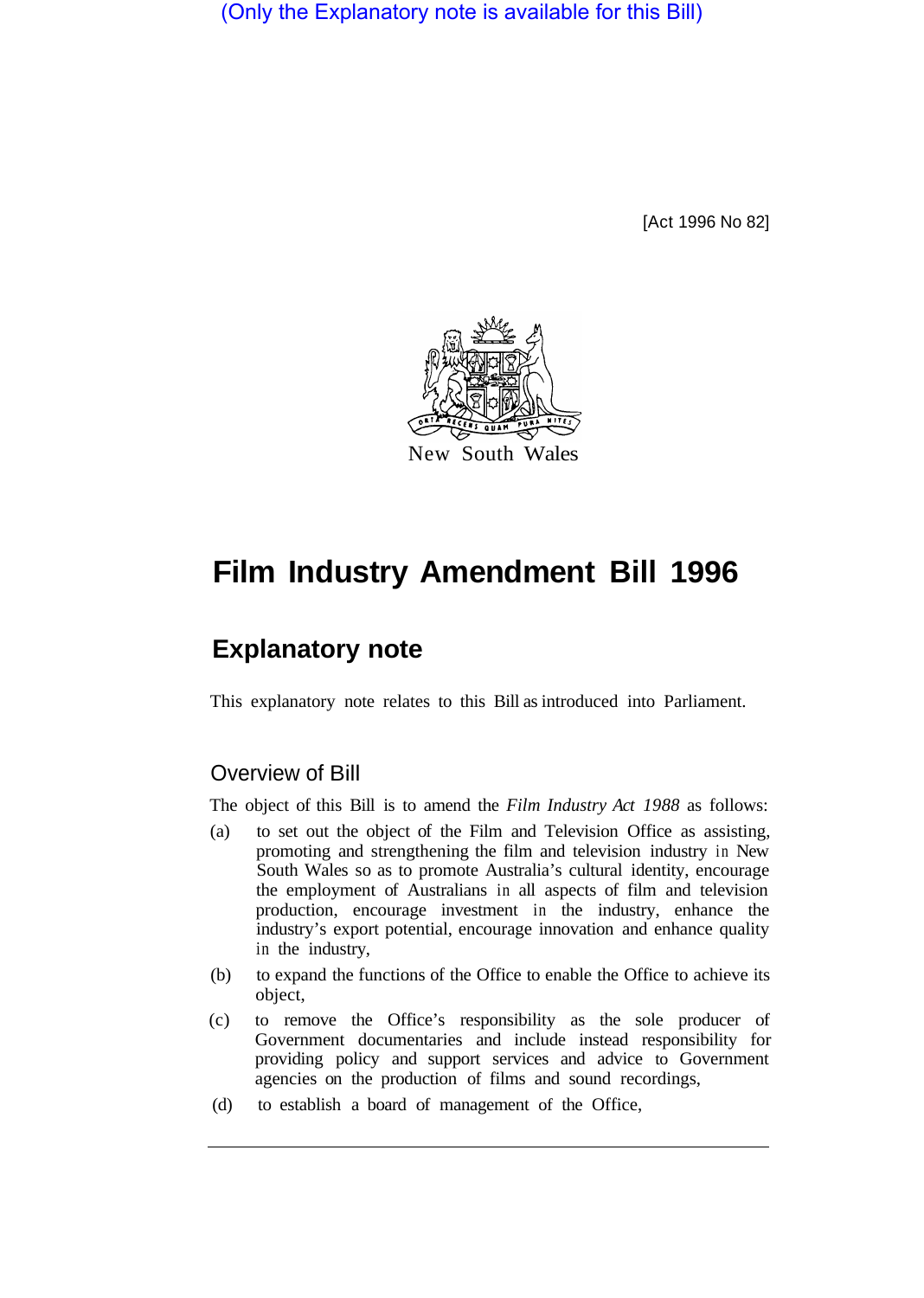(Only the Explanatory note is available for this Bill)

[Act 1996 No 82]



# **Film Industry Amendment Bill 1996**

# **Explanatory note**

This explanatory note relates to this Bill as introduced into Parliament.

## Overview of Bill

The object of this Bill is to amend the *Film Industry Act 1988* as follows:

- (a) to set out the object of the Film and Television Office as assisting, promoting and strengthening the film and television industry in New South Wales so as to promote Australia's cultural identity, encourage the employment of Australians in all aspects of film and television production, encourage investment in the industry, enhance the industry's export potential, encourage innovation and enhance quality in the industry,
- (b) to expand the functions of the Office to enable the Office to achieve its object,
- (c) to remove the Office's responsibility as the sole producer of Government documentaries and include instead responsibility for providing policy and support services and advice to Government agencies on the production of films and sound recordings,
- (d) to establish a board of management of the Office,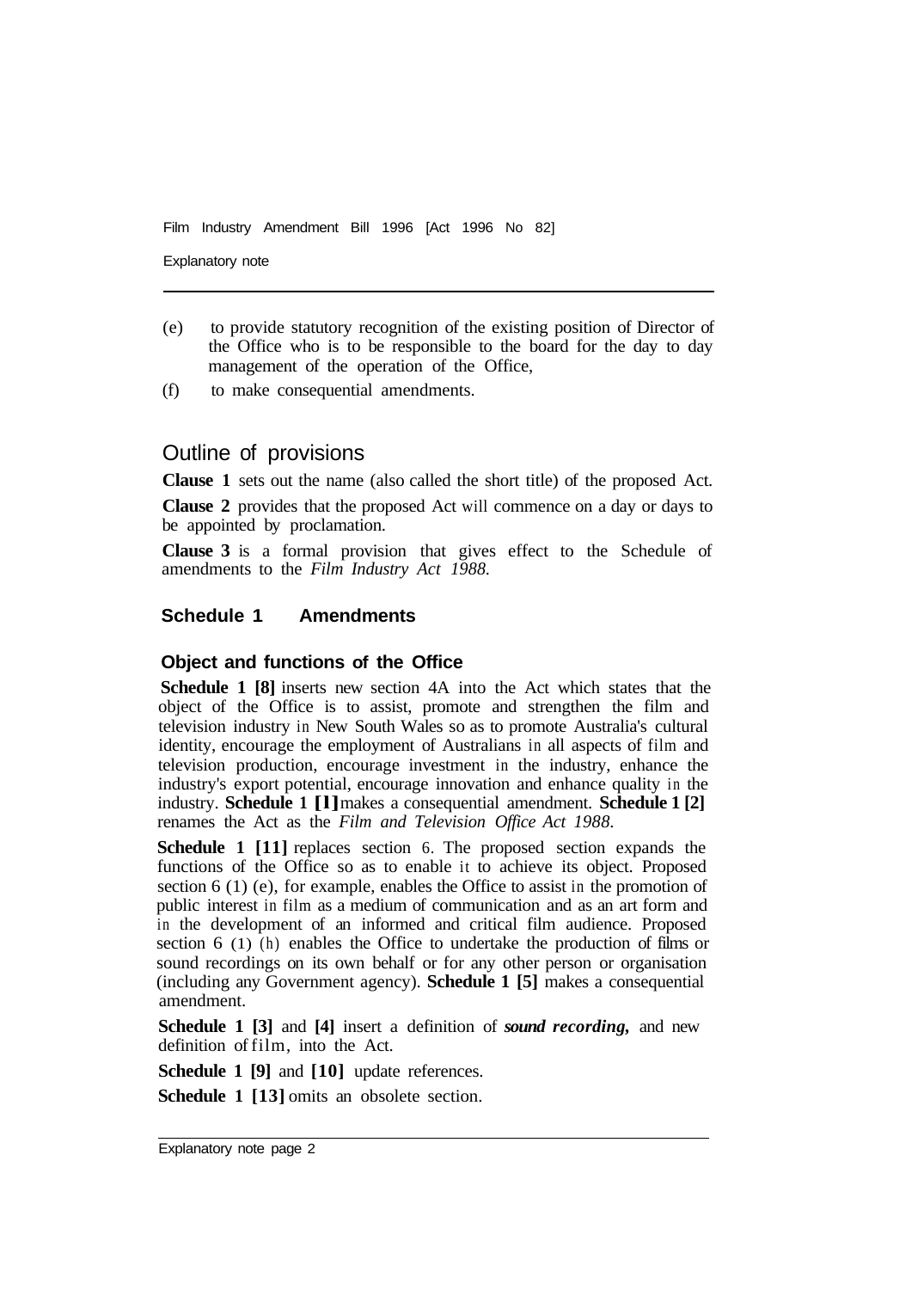Film Industry Amendment Bill 1996 [Act 1996 No 82]

Explanatory note

- (e) to provide statutory recognition of the existing position of Director of the Office who is to be responsible to the board for the day to day management of the operation of the Office,
- (f) to make consequential amendments.

### Outline of provisions

**Clause 1** sets out the name (also called the short title) of the proposed Act.

**Clause 2** provides that the proposed Act will commence on a day or days to be appointed by proclamation.

**Clause 3** is a formal provision that gives effect to the Schedule of amendments to the *Film Industry Act 1988.* 

#### **Schedule 1 Amendments**

#### **Object and functions of the Office**

**Schedule 1 [8]** inserts new section 4A into the Act which states that the object of the Office is to assist, promote and strengthen the film and television industry in New South Wales so as to promote Australia's cultural identity, encourage the employment of Australians in all aspects of film and television production, encourage investment in the industry, enhance the industry's export potential, encourage innovation and enhance quality in the industry. **Schedule 1 [l]** makes a consequential amendment. **Schedule 1 [2]** renames the Act as the *Film and Television Office Act 1988.* 

**Schedule 1 [11]** replaces section 6. The proposed section expands the functions of the Office so as to enable it to achieve its object. Proposed section 6 (1) (e), for example, enables the Office to assist in the promotion of public interest in film as a medium of communication and as an art form and in the development of an informed and critical film audience. Proposed section 6 (1) (h) enables the Office to undertake the production of films or sound recordings on its own behalf or for any other person or organisation (including any Government agency). **Schedule 1 [5]** makes a consequential amendment.

**Schedule 1 [3]** and **[4]** insert a definition of *sound recording,* and new definition of film, into the Act.

**Schedule 1 [9]** and **[10]** update references.

**Schedule 1 [13] omits an obsolete section.**